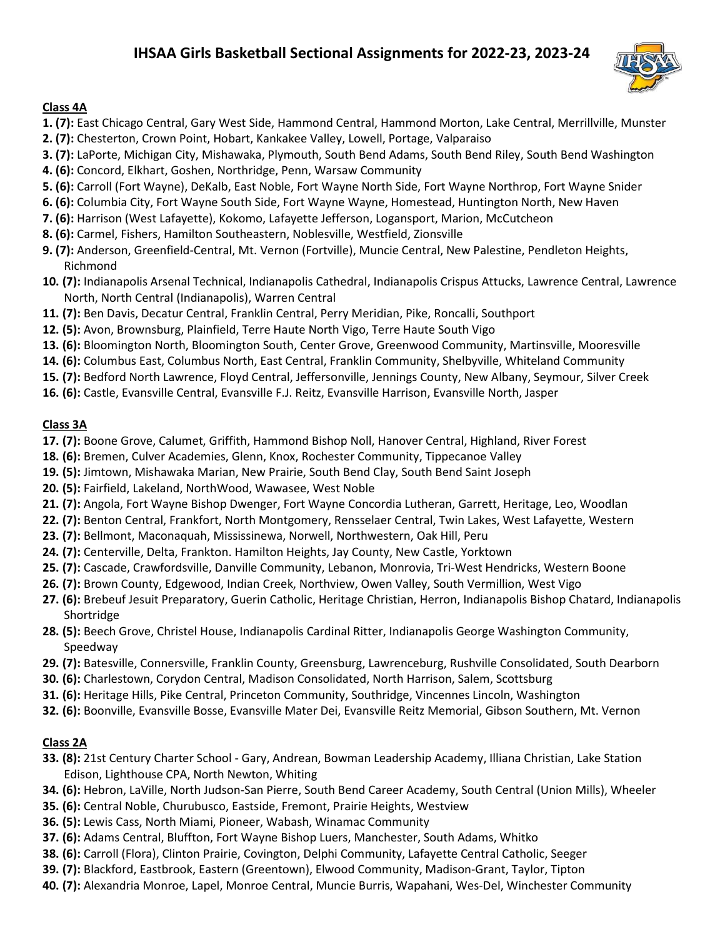# IHSAA Girls Basketball Sectional Assignments for 2022-23, 2023-24



#### Class 4A

- 1. (7): East Chicago Central, Gary West Side, Hammond Central, Hammond Morton, Lake Central, Merrillville, Munster
- 2. (7): Chesterton, Crown Point, Hobart, Kankakee Valley, Lowell, Portage, Valparaiso
- 3. (7): LaPorte, Michigan City, Mishawaka, Plymouth, South Bend Adams, South Bend Riley, South Bend Washington
- 4. (6): Concord, Elkhart, Goshen, Northridge, Penn, Warsaw Community
- 5. (6): Carroll (Fort Wayne), DeKalb, East Noble, Fort Wayne North Side, Fort Wayne Northrop, Fort Wayne Snider
- 6. (6): Columbia City, Fort Wayne South Side, Fort Wayne Wayne, Homestead, Huntington North, New Haven
- 7. (6): Harrison (West Lafayette), Kokomo, Lafayette Jefferson, Logansport, Marion, McCutcheon
- 8. (6): Carmel, Fishers, Hamilton Southeastern, Noblesville, Westfield, Zionsville
- 9. (7): Anderson, Greenfield-Central, Mt. Vernon (Fortville), Muncie Central, New Palestine, Pendleton Heights, Richmond
- 10. (7): Indianapolis Arsenal Technical, Indianapolis Cathedral, Indianapolis Crispus Attucks, Lawrence Central, Lawrence North, North Central (Indianapolis), Warren Central
- 11. (7): Ben Davis, Decatur Central, Franklin Central, Perry Meridian, Pike, Roncalli, Southport
- 12. (5): Avon, Brownsburg, Plainfield, Terre Haute North Vigo, Terre Haute South Vigo
- 13. (6): Bloomington North, Bloomington South, Center Grove, Greenwood Community, Martinsville, Mooresville
- 14. (6): Columbus East, Columbus North, East Central, Franklin Community, Shelbyville, Whiteland Community
- 15. (7): Bedford North Lawrence, Floyd Central, Jeffersonville, Jennings County, New Albany, Seymour, Silver Creek
- 16. (6): Castle, Evansville Central, Evansville F.J. Reitz, Evansville Harrison, Evansville North, Jasper

## Class 3A

- 17. (7): Boone Grove, Calumet, Griffith, Hammond Bishop Noll, Hanover Central, Highland, River Forest
- 18. (6): Bremen, Culver Academies, Glenn, Knox, Rochester Community, Tippecanoe Valley
- 19. (5): Jimtown, Mishawaka Marian, New Prairie, South Bend Clay, South Bend Saint Joseph
- 20. (5): Fairfield, Lakeland, NorthWood, Wawasee, West Noble
- 21. (7): Angola, Fort Wayne Bishop Dwenger, Fort Wayne Concordia Lutheran, Garrett, Heritage, Leo, Woodlan
- 22. (7): Benton Central, Frankfort, North Montgomery, Rensselaer Central, Twin Lakes, West Lafayette, Western
- 23. (7): Bellmont, Maconaquah, Mississinewa, Norwell, Northwestern, Oak Hill, Peru
- 24. (7): Centerville, Delta, Frankton. Hamilton Heights, Jay County, New Castle, Yorktown
- 25. (7): Cascade, Crawfordsville, Danville Community, Lebanon, Monrovia, Tri-West Hendricks, Western Boone
- 26. (7): Brown County, Edgewood, Indian Creek, Northview, Owen Valley, South Vermillion, West Vigo
- 27. (6): Brebeuf Jesuit Preparatory, Guerin Catholic, Heritage Christian, Herron, Indianapolis Bishop Chatard, Indianapolis Shortridge
- 28. (5): Beech Grove, Christel House, Indianapolis Cardinal Ritter, Indianapolis George Washington Community, Speedway
- 29. (7): Batesville, Connersville, Franklin County, Greensburg, Lawrenceburg, Rushville Consolidated, South Dearborn
- 30. (6): Charlestown, Corydon Central, Madison Consolidated, North Harrison, Salem, Scottsburg
- 31. (6): Heritage Hills, Pike Central, Princeton Community, Southridge, Vincennes Lincoln, Washington
- 32. (6): Boonville, Evansville Bosse, Evansville Mater Dei, Evansville Reitz Memorial, Gibson Southern, Mt. Vernon

## Class 2A

- 33. (8): 21st Century Charter School Gary, Andrean, Bowman Leadership Academy, Illiana Christian, Lake Station Edison, Lighthouse CPA, North Newton, Whiting
- 34. (6): Hebron, LaVille, North Judson-San Pierre, South Bend Career Academy, South Central (Union Mills), Wheeler
- 35. (6): Central Noble, Churubusco, Eastside, Fremont, Prairie Heights, Westview
- 36. (5): Lewis Cass, North Miami, Pioneer, Wabash, Winamac Community
- 37. (6): Adams Central, Bluffton, Fort Wayne Bishop Luers, Manchester, South Adams, Whitko
- 38. (6): Carroll (Flora), Clinton Prairie, Covington, Delphi Community, Lafayette Central Catholic, Seeger
- 39. (7): Blackford, Eastbrook, Eastern (Greentown), Elwood Community, Madison-Grant, Taylor, Tipton
- 40. (7): Alexandria Monroe, Lapel, Monroe Central, Muncie Burris, Wapahani, Wes-Del, Winchester Community